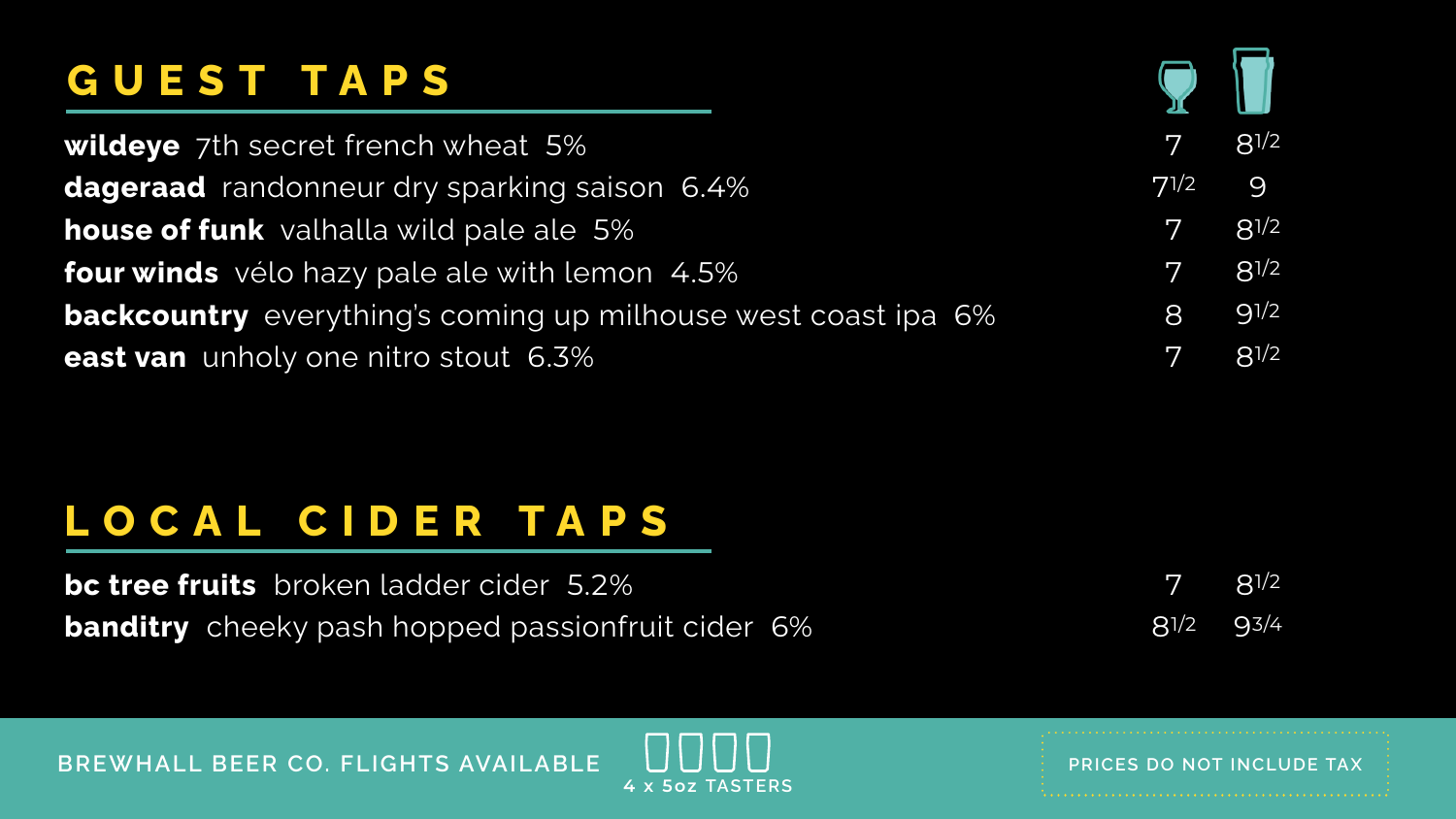## GUEST TAPS

wildeye 7th secret french wheat 5% dageraad randonneur dry sparking saison 6.4% **house of funk** valhalla wild pale ale 5% **four winds** vélo hazy pale ale with lemon 4.5% **backcountry** everything's coming up milhouse west coast ipa 6% east van unholy one nitro stout 6.3%

### LOCAL CIDER TAPS

bc tree fruits broken ladder cider 5.2% banditry cheeky pash hopped passionfruit cider 6%

BREWHALL BEER CO. FLIGHTS AVAILABLE



 $8^{1/2}$ 7  $8^{1/2}$ 93/4

### **ANDANI** 4 x 5oz TASTERS

### PRICES DO NOT INCLUDE TAX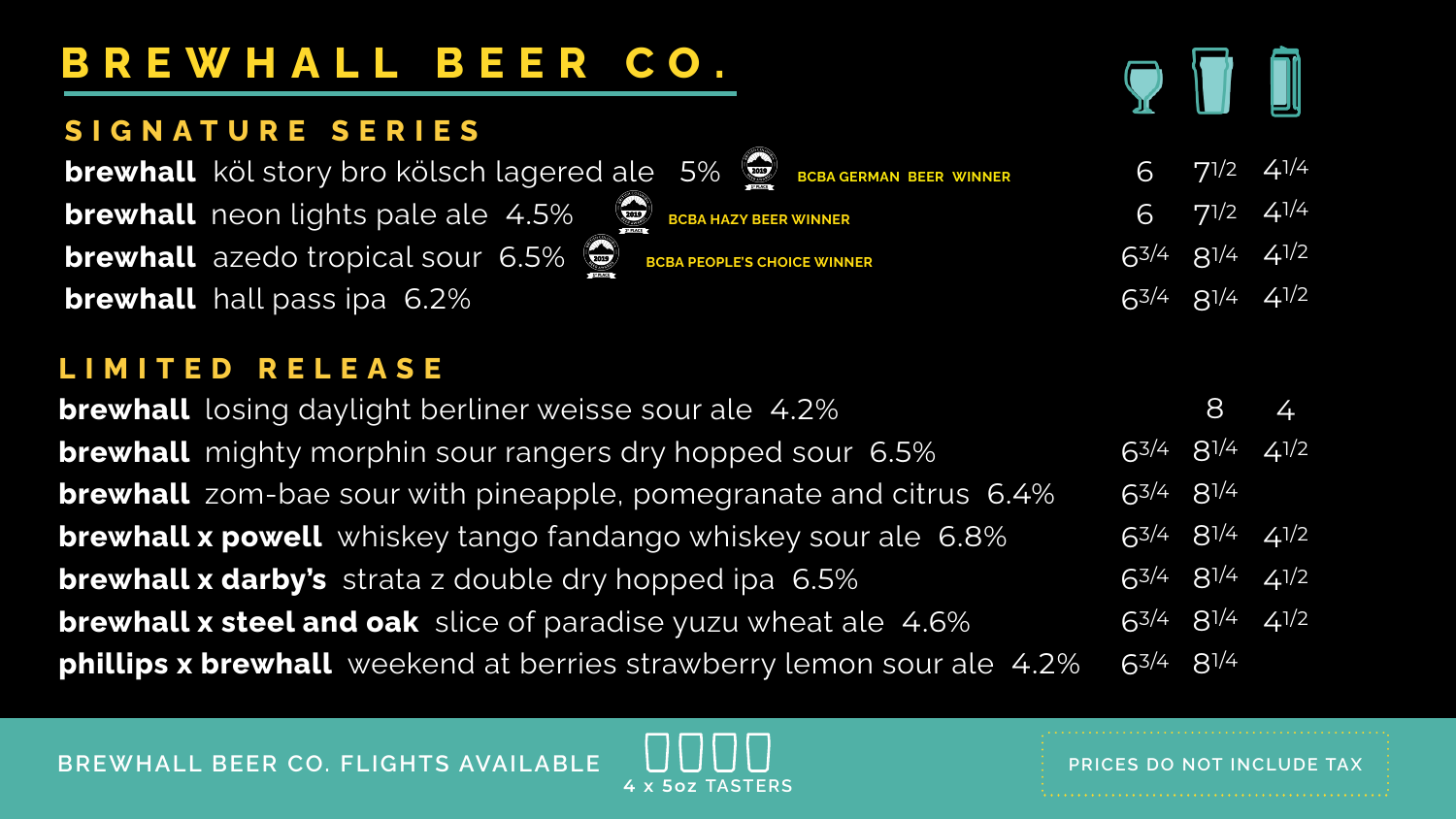## **BREWHALL BEER CO.**

### **SIGNATURE SERIES**

**brewhall** köl story bro kölsch lagered ale **EXAMPLE brewhall** neon lights pale ale 4.5% **brewhall** azedo tropical sour 6.5% **BCB brewhall** hall pass ipa 6.2%

 **brewhall** zom-bae sour with pineapple, pomegranate and citrus 6.4% **brewhall** losing daylight berliner weisse sour **brewhall** mighty morphin sour rangers dry h **brewhall x powell** whiskey tango fandango **brewhall x darby's** strata z double dry hopp **brewhall x steel and oak** slice of paradise y phillips x brewhall weekend at berries stray

**BREWHALL BEER CO. FLIGHTS AVAILABLE**  $\bigcup \bigcup \bigcup \bigcup \bigcup$ 



| <b>EXAMPLE</b><br>$5\%$<br><b>BCBA GERMAN BEER WINNER</b> | $6$ 71/2 41/4                          |  |
|-----------------------------------------------------------|----------------------------------------|--|
| <b>BCBA HAZY BEER WINNER</b>                              | $\sqrt{6}$ $\sqrt{71}/2$ $\sqrt{41}/4$ |  |
| <b>BA PEOPLE'S CHOICE WINNER</b>                          | $63/4$ $8^{1/4}$ $4^{1/2}$             |  |
|                                                           | $63/4$ $8^{1/4}$ $4^{1/2}$             |  |
|                                                           |                                        |  |

### **LIMITED RELEASE**

| <i>urale 4.2%</i>          |                            | 8 4 |
|----------------------------|----------------------------|-----|
| 10pped sour 6.5%           | $63/4$ $8^{1/4}$ $4^{1/2}$ |     |
| negranate and citrus 6.4%  | $63/4$ $8^{1/4}$           |     |
| whiskey sour ale 6.8%      | $63/4$ $8^{1/4}$ $4^{1/2}$ |     |
| ed ipa 6.5%                | $63/4$ $8^{1/4}$ $4^{1/2}$ |     |
| uzu wheat ale 4.6%         | $63/4$ $8^{1/4}$ $4^{1/2}$ |     |
| wberry lemon sour ale 4.2% | $63/4$ $8^{1/4}$           |     |

**4 x 5oz TASTERS**

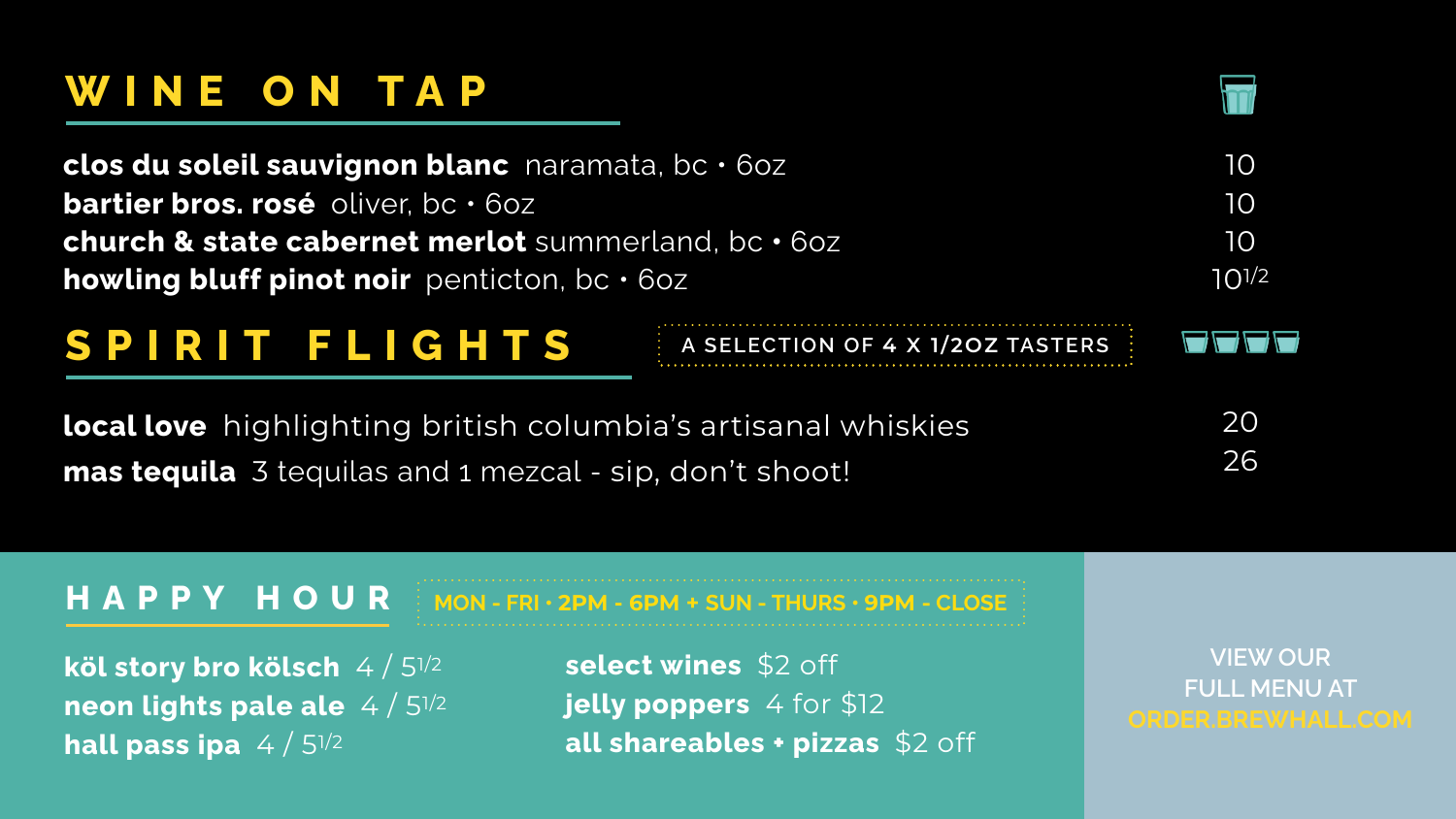## **WINE ON TAP**

clos du soleil sauvignon blanc naramata, **bartier bros. rosé** oliver, bc • 6oz **church & state cabernet merlot** summerland **howling bluff pinot noir** penticton, bc • 6oz

### **HAPPY HOUR**

**köl story bro kölsch** 4 / 51/2 **neon lights pale ale** 4 / 51/2 **hall pass ipa** 4 / 51/2

**MON - FRI • 2PM - 6PM + SUN - THURS • 9PM - CLOSE select wines** \$2 off **jelly poppers** 4 for \$12

**all shareables + pizzas** \$2 off

**VIEW OUR FULL MENU AT**

| OC . 60Z                           | 10         |
|------------------------------------|------------|
| nd, bc · 6oz                       | 10<br>10   |
| $\mathbb{Z}$                       | $10^{1/2}$ |
| A SELECTION OF 4 X 1/20Z TASTERS : |            |
| s artisanal whiskies               | 20<br>26   |
| Jon't shoot!                       |            |

## **SPIRIT FLIGHTS A SELECTION OF 4 X 1/2OZ TASTERS**



**local love** highlighting british columbia's **mas tequila** 3 tequilas and 1 mezcal - sip, d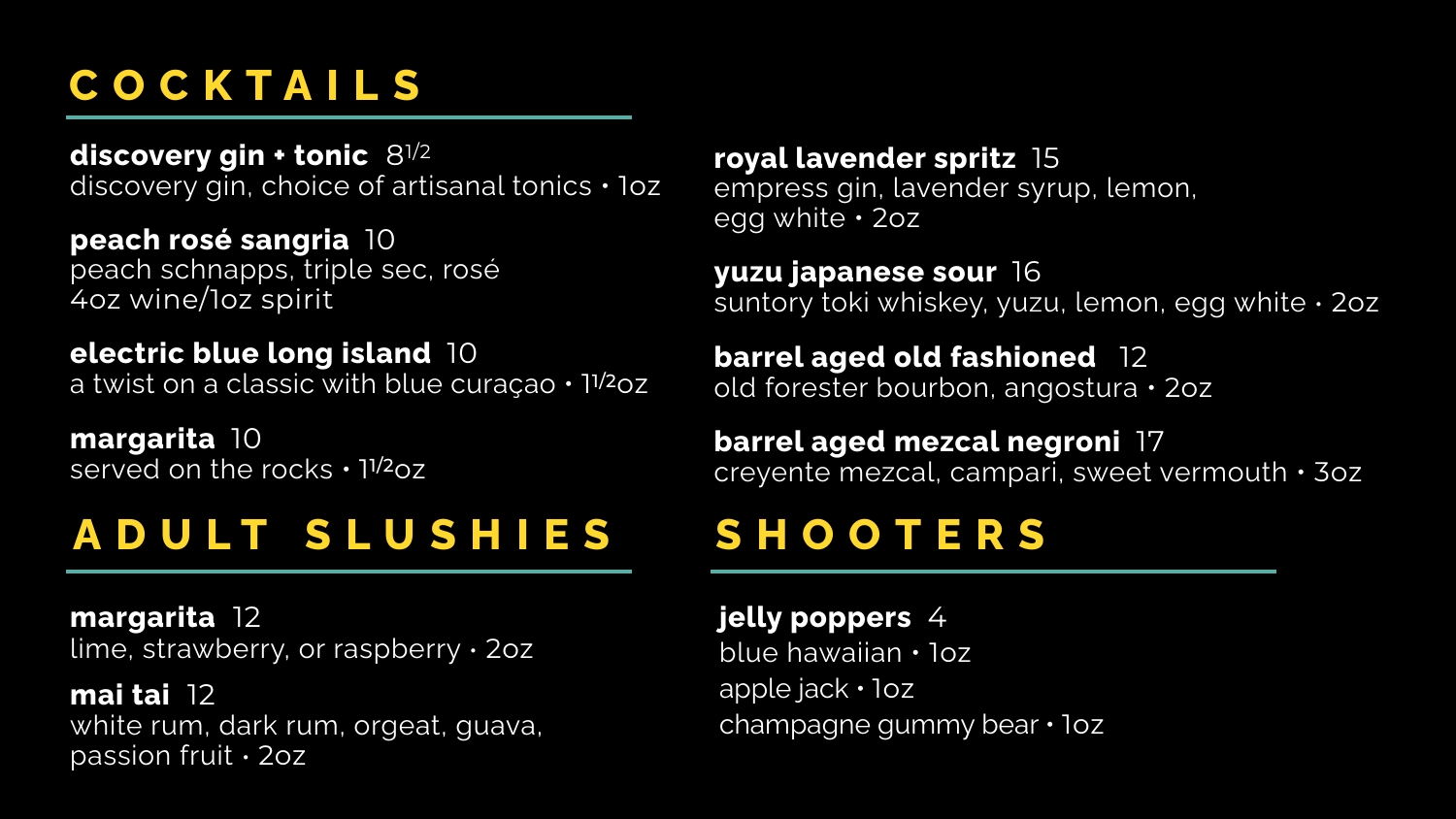## **COCKTAILS**

**royal lavender spritz** 15 empress gin, lavender syrup, lemon, egg white • 2oz

**yuzu japanese sour** 16 suntory toki whiskey, yuzu, lemon, egg white • 2oz

**barrel aged old fashioned** 12 old forester bourbon, angostura • 2oz

**barrel aged mezcal negroni** 17 creyente mezcal, campari, sweet vermouth • 3oz

# **ADULT SLUSHIES SHOOTERS**

### **jelly poppers** 4

blue hawaiian • 1oz apple jack • 1oz champagne gummy bear • 1oz

**margarita** 10 served on the rocks . 11/2oz

### **margarita** 12 lime, strawberry, or raspberry • 2oz

**mai tai** 12 white rum, dark rum, orgeat, guava, passion fruit • 2oz

**discovery gin + tonic** 81/2 discovery gin, choice of artisanal tonics • 1oz

**peach rosé sangria** 10 peach schnapps, triple sec, rosé 4oz wine/1oz spirit

### **electric blue long island** 10 a twist on a classic with blue curaçao • 11/2oz